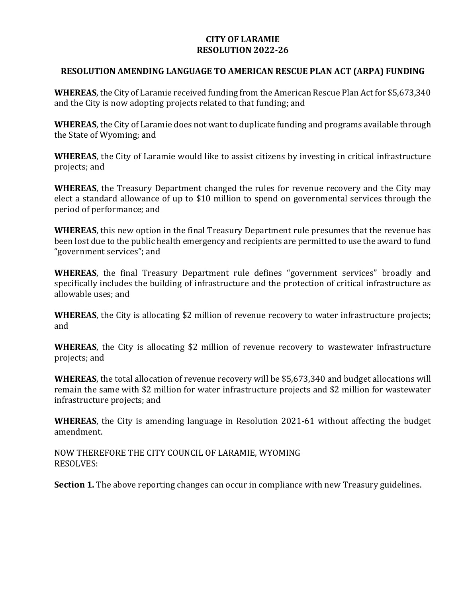## **CITY OF LARAMIE RESOLUTION 2022-26**

## **RESOLUTION AMENDING LANGUAGE TO AMERICAN RESCUE PLAN ACT (ARPA) FUNDING**

**WHEREAS**, the City of Laramie received funding from the American Rescue Plan Act for \$5,673,340 and the City is now adopting projects related to that funding; and

**WHEREAS**, the City of Laramie does not want to duplicate funding and programs available through the State of Wyoming; and

**WHEREAS**, the City of Laramie would like to assist citizens by investing in critical infrastructure projects; and

**WHEREAS**, the Treasury Department changed the rules for revenue recovery and the City may elect a standard allowance of up to \$10 million to spend on governmental services through the period of performance; and

**WHEREAS**, this new option in the final Treasury Department rule presumes that the revenue has been lost due to the public health emergency and recipients are permitted to use the award to fund "government services"; and

**WHEREAS**, the final Treasury Department rule defines "government services" broadly and specifically includes the building of infrastructure and the protection of critical infrastructure as allowable uses; and

**WHEREAS**, the City is allocating \$2 million of revenue recovery to water infrastructure projects; and

**WHEREAS**, the City is allocating \$2 million of revenue recovery to wastewater infrastructure projects; and

**WHEREAS**, the total allocation of revenue recovery will be \$5,673,340 and budget allocations will remain the same with \$2 million for water infrastructure projects and \$2 million for wastewater infrastructure projects; and

**WHEREAS**, the City is amending language in Resolution 2021-61 without affecting the budget amendment.

NOW THEREFORE THE CITY COUNCIL OF LARAMIE, WYOMING RESOLVES:

**Section 1.** The above reporting changes can occur in compliance with new Treasury guidelines.